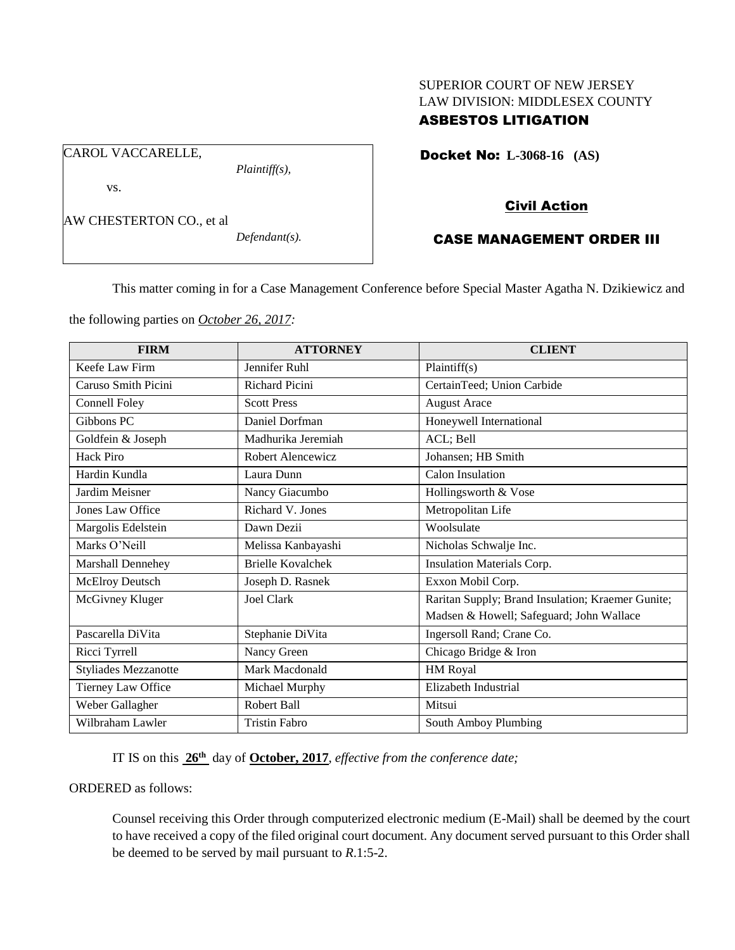# SUPERIOR COURT OF NEW JERSEY LAW DIVISION: MIDDLESEX COUNTY

# ASBESTOS LITIGATION

Docket No: **L-3068-16 (AS)** 

vs.

CAROL VACCARELLE,

AW CHESTERTON CO., et al

*Defendant(s).*

*Plaintiff(s),*

## Civil Action

## CASE MANAGEMENT ORDER III

This matter coming in for a Case Management Conference before Special Master Agatha N. Dzikiewicz and

the following parties on *October 26, 2017:*

| <b>FIRM</b>                 | <b>ATTORNEY</b>          | <b>CLIENT</b>                                     |
|-----------------------------|--------------------------|---------------------------------------------------|
| Keefe Law Firm              | Jennifer Ruhl            | Plaintiff(s)                                      |
| Caruso Smith Picini         | <b>Richard Picini</b>    | CertainTeed; Union Carbide                        |
| Connell Foley               | <b>Scott Press</b>       | <b>August Arace</b>                               |
| Gibbons PC                  | Daniel Dorfman           | Honeywell International                           |
| Goldfein & Joseph           | Madhurika Jeremiah       | ACL; Bell                                         |
| Hack Piro                   | Robert Alencewicz        | Johansen; HB Smith                                |
| Hardin Kundla               | Laura Dunn               | Calon Insulation                                  |
| Jardim Meisner              | Nancy Giacumbo           | Hollingsworth & Vose                              |
| Jones Law Office            | Richard V. Jones         | Metropolitan Life                                 |
| Margolis Edelstein          | Dawn Dezii               | Woolsulate                                        |
| Marks O'Neill               | Melissa Kanbayashi       | Nicholas Schwalje Inc.                            |
| Marshall Dennehey           | <b>Brielle Kovalchek</b> | Insulation Materials Corp.                        |
| McElroy Deutsch             | Joseph D. Rasnek         | Exxon Mobil Corp.                                 |
| McGivney Kluger             | Joel Clark               | Raritan Supply; Brand Insulation; Kraemer Gunite; |
|                             |                          | Madsen & Howell; Safeguard; John Wallace          |
| Pascarella DiVita           | Stephanie DiVita         | Ingersoll Rand; Crane Co.                         |
| Ricci Tyrrell               | Nancy Green              | Chicago Bridge & Iron                             |
| <b>Styliades Mezzanotte</b> | Mark Macdonald           | HM Royal                                          |
| Tierney Law Office          | Michael Murphy           | Elizabeth Industrial                              |
| Weber Gallagher             | Robert Ball              | Mitsui                                            |
| Wilbraham Lawler            | <b>Tristin Fabro</b>     | South Amboy Plumbing                              |

IT IS on this **26th** day of **October, 2017**, *effective from the conference date;*

ORDERED as follows:

Counsel receiving this Order through computerized electronic medium (E-Mail) shall be deemed by the court to have received a copy of the filed original court document. Any document served pursuant to this Order shall be deemed to be served by mail pursuant to *R*.1:5-2.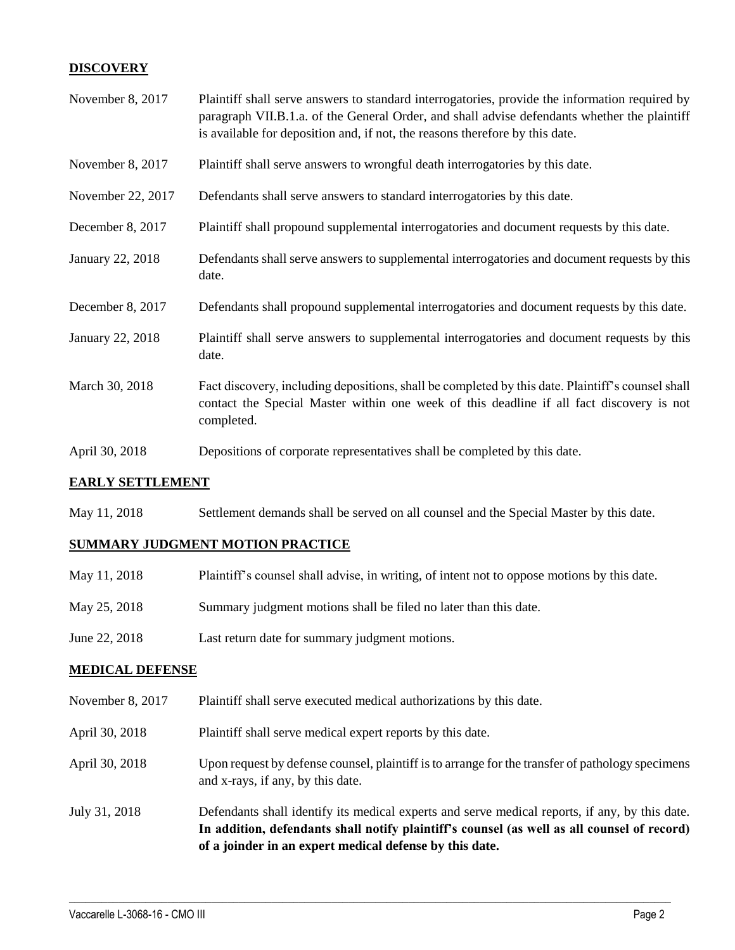### **DISCOVERY**

| November 8, 2017        | Plaintiff shall serve answers to standard interrogatories, provide the information required by<br>paragraph VII.B.1.a. of the General Order, and shall advise defendants whether the plaintiff<br>is available for deposition and, if not, the reasons therefore by this date. |
|-------------------------|--------------------------------------------------------------------------------------------------------------------------------------------------------------------------------------------------------------------------------------------------------------------------------|
| November 8, 2017        | Plaintiff shall serve answers to wrongful death interrogatories by this date.                                                                                                                                                                                                  |
| November 22, 2017       | Defendants shall serve answers to standard interrogatories by this date.                                                                                                                                                                                                       |
| December 8, 2017        | Plaintiff shall propound supplemental interrogatories and document requests by this date.                                                                                                                                                                                      |
| January 22, 2018        | Defendants shall serve answers to supplemental interrogatories and document requests by this<br>date.                                                                                                                                                                          |
| December 8, 2017        | Defendants shall propound supplemental interrogatories and document requests by this date.                                                                                                                                                                                     |
| <b>January 22, 2018</b> | Plaintiff shall serve answers to supplemental interrogatories and document requests by this<br>date.                                                                                                                                                                           |
| March 30, 2018          | Fact discovery, including depositions, shall be completed by this date. Plaintiff's counsel shall<br>contact the Special Master within one week of this deadline if all fact discovery is not<br>completed.                                                                    |
| April 30, 2018          | Depositions of corporate representatives shall be completed by this date.                                                                                                                                                                                                      |

#### **EARLY SETTLEMENT**

May 11, 2018 Settlement demands shall be served on all counsel and the Special Master by this date.

#### **SUMMARY JUDGMENT MOTION PRACTICE**

| May 11, 2018  | Plaintiff's counsel shall advise, in writing, of intent not to oppose motions by this date. |
|---------------|---------------------------------------------------------------------------------------------|
| May 25, 2018  | Summary judgment motions shall be filed no later than this date.                            |
| June 22, 2018 | Last return date for summary judgment motions.                                              |

### **MEDICAL DEFENSE**

- November 8, 2017 Plaintiff shall serve executed medical authorizations by this date.
- April 30, 2018 Plaintiff shall serve medical expert reports by this date.
- April 30, 2018 Upon request by defense counsel, plaintiff is to arrange for the transfer of pathology specimens and x-rays, if any, by this date.
- July 31, 2018 Defendants shall identify its medical experts and serve medical reports, if any, by this date. **In addition, defendants shall notify plaintiff's counsel (as well as all counsel of record) of a joinder in an expert medical defense by this date.**

 $\_$  ,  $\_$  ,  $\_$  ,  $\_$  ,  $\_$  ,  $\_$  ,  $\_$  ,  $\_$  ,  $\_$  ,  $\_$  ,  $\_$  ,  $\_$  ,  $\_$  ,  $\_$  ,  $\_$  ,  $\_$  ,  $\_$  ,  $\_$  ,  $\_$  ,  $\_$  ,  $\_$  ,  $\_$  ,  $\_$  ,  $\_$  ,  $\_$  ,  $\_$  ,  $\_$  ,  $\_$  ,  $\_$  ,  $\_$  ,  $\_$  ,  $\_$  ,  $\_$  ,  $\_$  ,  $\_$  ,  $\_$  ,  $\_$  ,